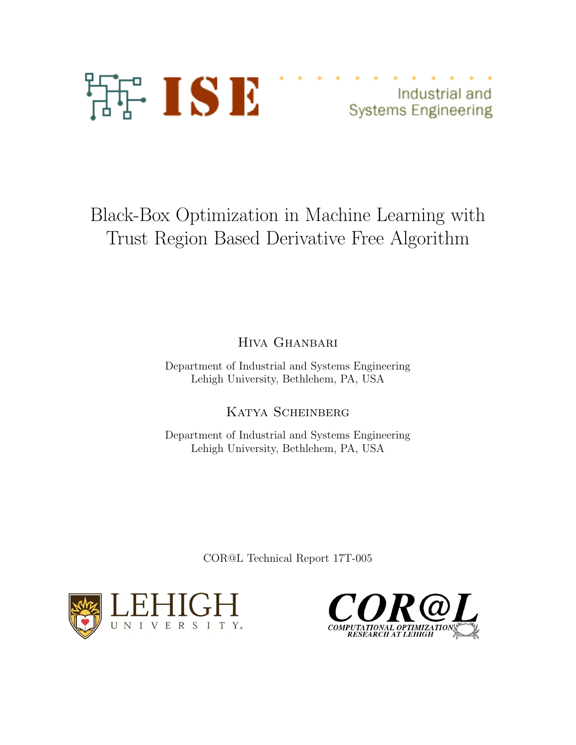

Industrial and **Systems Engineering** 

# Black-Box Optimization in Machine Learning with Trust Region Based Derivative Free Algorithm

Hiva Ghanbari

Department of Industrial and Systems Engineering Lehigh University, Bethlehem, PA, USA

Katya Scheinberg

Department of Industrial and Systems Engineering Lehigh University, Bethlehem, PA, USA

COR@L Technical Report 17T-005



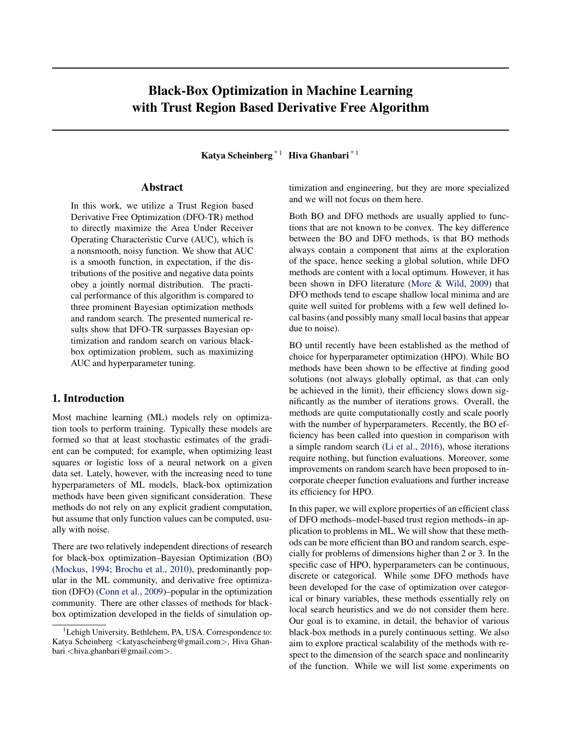## Black-Box Optimization in Machine Learning with Trust Region Based Derivative Free Algorithm

Katya Scheinberg<sup>\* 1</sup> Hiva Ghanbari<sup>\* 1</sup>

#### Abstract

In this work, we utilize a Trust Region based Derivative Free Optimization (DFO-TR) method to directly maximize the Area Under Receiver Operating Characteristic Curve (AUC), which is a nonsmooth, noisy function. We show that AUC is a smooth function, in expectation, if the distributions of the positive and negative data points obey a jointly normal distribution. The practical performance of this algorithm is compared to three prominent Bayesian optimization methods and random search. The presented numerical results show that DFO-TR surpasses Bayesian optimization and random search on various blackbox optimization problem, such as maximizing AUC and hyperparameter tuning.

### 1. Introduction

Most machine learning (ML) models rely on optimization tools to perform training. Typically these models are formed so that at least stochastic estimates of the gradient can be computed; for example, when optimizing least squares or logistic loss of a neural network on a given data set. Lately, however, with the increasing need to tune hyperparameters of ML models, black-box optimization methods have been given significant consideration. These methods do not rely on any explicit gradient computation, but assume that only function values can be computed, usually with noise.

There are two relatively independent directions of research for black-box optimization–Bayesian Optimization (BO) [\(Mockus,](#page-9-0) [1994;](#page-9-0) [Brochu et al.,](#page-9-0) [2010\)](#page-9-0), predominantly popular in the ML community, and derivative free optimization (DFO) [\(Conn et al.,](#page-9-0) [2009\)](#page-9-0)–popular in the optimization community. There are other classes of methods for blackbox optimization developed in the fields of simulation optimization and engineering, but they are more specialized and we will not focus on them here.

Both BO and DFO methods are usually applied to functions that are not known to be convex. The key difference between the BO and DFO methods, is that BO methods always contain a component that aims at the exploration of the space, hence seeking a global solution, while DFO methods are content with a local optimum. However, it has been shown in DFO literature [\(More & Wild,](#page-9-0) [2009\)](#page-9-0) that DFO methods tend to escape shallow local minima and are quite well suited for problems with a few well defined local basins (and possibly many small local basins that appear due to noise).

BO until recently have been established as the method of choice for hyperparameter optimization (HPO). While BO methods have been shown to be effective at finding good solutions (not always globally optimal, as that can only be achieved in the limit), their efficiency slows down significantly as the number of iterations grows. Overall, the methods are quite computationally costly and scale poorly with the number of hyperparameters. Recently, the BO efficiency has been called into question in comparison with a simple random search [\(Li et al.,](#page-9-0) [2016\)](#page-9-0), whose iterations require nothing, but function evaluations. Moreover, some improvements on random search have been proposed to incorporate cheeper function evaluations and further increase its efficiency for HPO.

In this paper, we will explore properties of an efficient class of DFO methods–model-based trust region methods–in application to problems in ML. We will show that these methods can be more efficient than BO and random search, especially for problems of dimensions higher than 2 or 3. In the specific case of HPO, hyperparameters can be continuous, discrete or categorical. While some DFO methods have been developed for the case of optimization over categorical or binary variables, these methods essentially rely on local search heuristics and we do not consider them here. Our goal is to examine, in detail, the behavior of various black-box methods in a purely continuous setting. We also aim to explore practical scalability of the methods with respect to the dimension of the search space and nonlinearity of the function. While we will list some experiments on

<sup>&</sup>lt;sup>1</sup>Lehigh University, Bethlehem, PA, USA. Correspondence to: Katya Scheinberg *<*katyascheinberg@gmail.com*>*, Hiva Ghanbari *<*hiva.ghanbari@gmail.com*>*.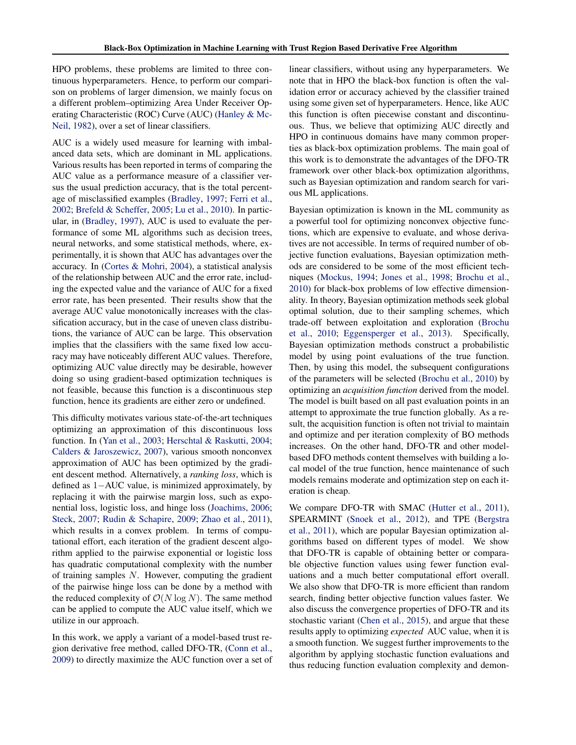HPO problems, these problems are limited to three continuous hyperparameters. Hence, to perform our comparison on problems of larger dimension, we mainly focus on a different problem–optimizing Area Under Receiver Operating Characteristic (ROC) Curve (AUC) [\(Hanley & Mc-](#page-9-0)[Neil,](#page-9-0) [1982\)](#page-9-0), over a set of linear classifiers.

AUC is a widely used measure for learning with imbalanced data sets, which are dominant in ML applications. Various results has been reported in terms of comparing the AUC value as a performance measure of a classifier versus the usual prediction accuracy, that is the total percentage of misclassified examples [\(Bradley,](#page-9-0) [1997;](#page-9-0) [Ferri et al.,](#page-9-0) [2002;](#page-9-0) [Brefeld & Scheffer,](#page-9-0) [2005;](#page-9-0) [Lu et al.,](#page-9-0) [2010\)](#page-9-0). In particular, in [\(Bradley,](#page-9-0) [1997\)](#page-9-0), AUC is used to evaluate the performance of some ML algorithms such as decision trees, neural networks, and some statistical methods, where, experimentally, it is shown that AUC has advantages over the accuracy. In [\(Cortes & Mohri,](#page-9-0) [2004\)](#page-9-0), a statistical analysis of the relationship between AUC and the error rate, including the expected value and the variance of AUC for a fixed error rate, has been presented. Their results show that the average AUC value monotonically increases with the classification accuracy, but in the case of uneven class distributions, the variance of AUC can be large. This observation implies that the classifiers with the same fixed low accuracy may have noticeably different AUC values. Therefore, optimizing AUC value directly may be desirable, however doing so using gradient-based optimization techniques is not feasible, because this function is a discontinuous step function, hence its gradients are either zero or undefined.

This difficulty motivates various state-of-the-art techniques optimizing an approximation of this discontinuous loss function. In [\(Yan et al.,](#page-10-0) [2003;](#page-10-0) [Herschtal & Raskutti,](#page-9-0) [2004;](#page-9-0) [Calders & Jaroszewicz,](#page-9-0) [2007\)](#page-9-0), various smooth nonconvex approximation of AUC has been optimized by the gradient descent method. Alternatively, a *ranking loss*, which is defined as  $1 - \text{AUC}$  value, is minimized approximately, by replacing it with the pairwise margin loss, such as exponential loss, logistic loss, and hinge loss [\(Joachims,](#page-9-0) [2006;](#page-9-0) [Steck,](#page-10-0) [2007;](#page-10-0) [Rudin & Schapire,](#page-10-0) [2009;](#page-10-0) [Zhao et al.,](#page-10-0) [2011\)](#page-10-0), which results in a convex problem. In terms of computational effort, each iteration of the gradient descent algorithm applied to the pairwise exponential or logistic loss has quadratic computational complexity with the number of training samples *N*. However, computing the gradient of the pairwise hinge loss can be done by a method with the reduced complexity of  $\mathcal{O}(N \log N)$ . The same method can be applied to compute the AUC value itself, which we utilize in our approach.

In this work, we apply a variant of a model-based trust region derivative free method, called DFO-TR, [\(Conn et al.,](#page-9-0) [2009\)](#page-9-0) to directly maximize the AUC function over a set of linear classifiers, without using any hyperparameters. We note that in HPO the black-box function is often the validation error or accuracy achieved by the classifier trained using some given set of hyperparameters. Hence, like AUC this function is often piecewise constant and discontinuous. Thus, we believe that optimizing AUC directly and HPO in continuous domains have many common properties as black-box optimization problems. The main goal of this work is to demonstrate the advantages of the DFO-TR framework over other black-box optimization algorithms, such as Bayesian optimization and random search for various ML applications.

Bayesian optimization is known in the ML community as a powerful tool for optimizing nonconvex objective functions, which are expensive to evaluate, and whose derivatives are not accessible. In terms of required number of objective function evaluations, Bayesian optimization methods are considered to be some of the most efficient techniques [\(Mockus,](#page-9-0) [1994;](#page-9-0) [Jones et al.,](#page-9-0) [1998;](#page-9-0) [Brochu et al.,](#page-9-0) [2010\)](#page-9-0) for black-box problems of low effective dimensionality. In theory, Bayesian optimization methods seek global optimal solution, due to their sampling schemes, which trade-off between exploitation and exploration [\(Brochu](#page-9-0) [et al.,](#page-9-0) [2010;](#page-9-0) [Eggensperger et al.,](#page-9-0) [2013\)](#page-9-0). Specifically, Bayesian optimization methods construct a probabilistic model by using point evaluations of the true function. Then, by using this model, the subsequent configurations of the parameters will be selected [\(Brochu et al.,](#page-9-0) [2010\)](#page-9-0) by optimizing an *acquisition function* derived from the model. The model is built based on all past evaluation points in an attempt to approximate the true function globally. As a result, the acquisition function is often not trivial to maintain and optimize and per iteration complexity of BO methods increases. On the other hand, DFO-TR and other modelbased DFO methods content themselves with building a local model of the true function, hence maintenance of such models remains moderate and optimization step on each iteration is cheap.

We compare DFO-TR with SMAC [\(Hutter et al.,](#page-9-0) [2011\)](#page-9-0), SPEARMINT [\(Snoek et al.,](#page-10-0) [2012\)](#page-10-0), and TPE [\(Bergstra](#page-9-0) [et al.,](#page-9-0) [2011\)](#page-9-0), which are popular Bayesian optimization algorithms based on different types of model. We show that DFO-TR is capable of obtaining better or comparable objective function values using fewer function evaluations and a much better computational effort overall. We also show that DFO-TR is more efficient than random search, finding better objective function values faster. We also discuss the convergence properties of DFO-TR and its stochastic variant [\(Chen et al.,](#page-9-0) [2015\)](#page-9-0), and argue that these results apply to optimizing *expected* AUC value, when it is a smooth function. We suggest further improvements to the algorithm by applying stochastic function evaluations and thus reducing function evaluation complexity and demon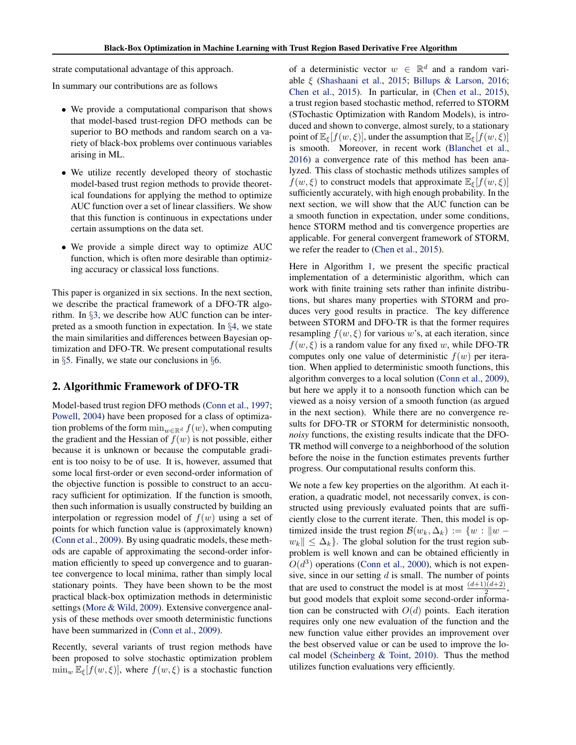strate computational advantage of this approach.

In summary our contributions are as follows

- *•* We provide a computational comparison that shows that model-based trust-region DFO methods can be superior to BO methods and random search on a variety of black-box problems over continuous variables arising in ML.
- *•* We utilize recently developed theory of stochastic model-based trust region methods to provide theoretical foundations for applying the method to optimize AUC function over a set of linear classifiers. We show that this function is continuous in expectations under certain assumptions on the data set.
- *•* We provide a simple direct way to optimize AUC function, which is often more desirable than optimizing accuracy or classical loss functions.

This paper is organized in six sections. In the next section, we describe the practical framework of a DFO-TR algorithm. In *§*[3,](#page-4-0) we describe how AUC function can be interpreted as a smooth function in expectation. In *§*[4,](#page-5-0) we state the main similarities and differences between Bayesian optimization and DFO-TR. We present computational results in *§*[5.](#page-5-0) Finally, we state our conclusions in *§*[6.](#page-8-0)

#### 2. Algorithmic Framework of DFO-TR

Model-based trust region DFO methods [\(Conn et al.,](#page-9-0) [1997;](#page-9-0) [Powell,](#page-9-0) [2004\)](#page-9-0) have been proposed for a class of optimization problems of the form  $\min_{w \in \mathbb{R}^d} f(w)$ , when computing the gradient and the Hessian of  $f(w)$  is not possible, either because it is unknown or because the computable gradient is too noisy to be of use. It is, however, assumed that some local first-order or even second-order information of the objective function is possible to construct to an accuracy sufficient for optimization. If the function is smooth, then such information is usually constructed by building an interpolation or regression model of  $f(w)$  using a set of points for which function value is (approximately known) [\(Conn et al.,](#page-9-0) [2009\)](#page-9-0). By using quadratic models, these methods are capable of approximating the second-order information efficiently to speed up convergence and to guarantee convergence to local minima, rather than simply local stationary points. They have been shown to be the most practical black-box optimization methods in deterministic settings [\(More & Wild,](#page-9-0) [2009\)](#page-9-0). Extensive convergence analysis of these methods over smooth deterministic functions have been summarized in [\(Conn et al.,](#page-9-0) [2009\)](#page-9-0).

Recently, several variants of trust region methods have been proposed to solve stochastic optimization problem  $\min_w \mathbb{E}_{\xi}[f(w,\xi)],$  where  $f(w,\xi)$  is a stochastic function of a deterministic vector  $w \in \mathbb{R}^d$  and a random variable  $\xi$  [\(Shashaani et al.,](#page-10-0) [2015;](#page-10-0) [Billups & Larson,](#page-9-0) [2016;](#page-9-0) [Chen et al.,](#page-9-0) [2015\)](#page-9-0). In particular, in [\(Chen et al.,](#page-9-0) [2015\)](#page-9-0), a trust region based stochastic method, referred to STORM (STochastic Optimization with Random Models), is introduced and shown to converge, almost surely, to a stationary point of  $\mathbb{E}_{\xi}[f(w,\xi)]$ , under the assumption that  $\mathbb{E}_{\xi}[f(w,\xi)]$ is smooth. Moreover, in recent work [\(Blanchet et al.,](#page-9-0) [2016\)](#page-9-0) a convergence rate of this method has been analyzed. This class of stochastic methods utilizes samples of  $f(w, \xi)$  to construct models that approximate  $\mathbb{E}_{\xi}[f(w, \xi)]$ sufficiently accurately, with high enough probability. In the next section, we will show that the AUC function can be a smooth function in expectation, under some conditions, hence STORM method and tis convergence properties are applicable. For general convergent framework of STORM, we refer the reader to [\(Chen et al.,](#page-9-0) [2015\)](#page-9-0).

Here in Algorithm [1,](#page-4-0) we present the specific practical implementation of a deterministic algorithm, which can work with finite training sets rather than infinite distributions, but shares many properties with STORM and produces very good results in practice. The key difference between STORM and DFO-TR is that the former requires resampling  $f(w, \xi)$  for various w's, at each iteration, since  $f(w, \xi)$  is a random value for any fixed *w*, while DFO-TR computes only one value of deterministic  $f(w)$  per iteration. When applied to deterministic smooth functions, this algorithm converges to a local solution [\(Conn et al.,](#page-9-0) [2009\)](#page-9-0), but here we apply it to a nonsooth function which can be viewed as a noisy version of a smooth function (as argued in the next section). While there are no convergence results for DFO-TR or STORM for deterministic nonsooth, *noisy* functions, the existing results indicate that the DFO-TR method will converge to a neighborhood of the solution before the noise in the function estimates prevents further progress. Our computational results conform this.

We note a few key properties on the algorithm. At each iteration, a quadratic model, not necessarily convex, is constructed using previously evaluated points that are sufficiently close to the current iterate. Then, this model is optimized inside the trust region  $\mathcal{B}(w_k, \Delta_k) := \{w : ||w$  $w_k \| \leq \Delta_k$ . The global solution for the trust region subproblem is well known and can be obtained efficiently in  $O(d^3)$  operations [\(Conn et al.,](#page-9-0) [2000\)](#page-9-0), which is not expensive, since in our setting *d* is small. The number of points that are used to construct the model is at most  $\frac{(d+1)(d+2)}{2}$ , but good models that exploit some second-order information can be constructed with  $O(d)$  points. Each iteration requires only one new evaluation of the function and the new function value either provides an improvement over the best observed value or can be used to improve the local model [\(Scheinberg & Toint,](#page-10-0) [2010\)](#page-10-0). Thus the method utilizes function evaluations very efficiently.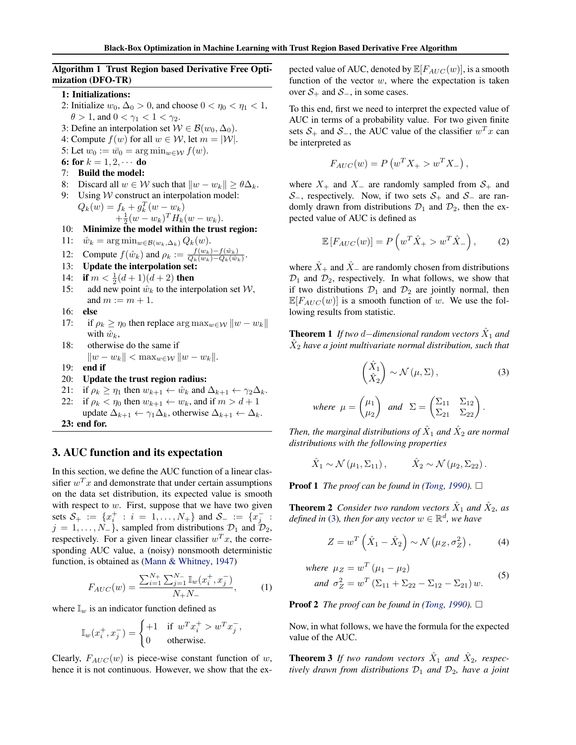#### <span id="page-4-0"></span>Algorithm 1 Trust Region based Derivative Free Optimization (DFO-TR)

1: Initializations:

- 2: Initialize  $w_0$ ,  $\Delta_0 > 0$ , and choose  $0 < \eta_0 < \eta_1 < 1$ ,  $\theta > 1$ , and  $0 < \gamma_1 < 1 < \gamma_2$ .
- 3: Define an interpolation set  $W \in \mathcal{B}(w_0, \Delta_0)$ .
- 4: Compute  $f(w)$  for all  $w \in W$ , let  $m = |W|$ .
- 5: Let  $w_0 := \overline{w_0} = \arg \min_{w \in \mathcal{W}} f(w)$ .
- 6: for  $k = 1, 2, \cdots$  do<br>7: Build the model:
- Build the model:
- 8: Discard all  $w \in W$  such that  $\|w w_k\| \ge \theta \Delta_k$ .<br>9: Using *W* construct an interpolation model:

Using *W* construct an interpolation model:  $Q_k(w) = f_{k+1} + g_k^T(w - w_k)$  $+\frac{1}{2}(w - w_k)^T H_k(w - w_k).$ 

- 10: Minimize the model within the trust region:
- 11:  $\hat{w}_k = \arg \min_{w \in \mathcal{B}(w_k, \Delta_k)} Q_k(w).$
- 12: Compute  $f(\hat{w}_k)$  and  $\rho_k := \frac{f(w_k) f(\hat{w}_k)}{Q_k(w_k) Q_k(\hat{w}_k)}$ .
- 13: Update the interpolation set:
- 14: **if**  $m < \frac{1}{2}(d+1)(d+2)$  then
- 15: add new point  $\hat{w}_k$  to the interpolation set  $\mathcal{W}$ , and  $m := m + 1$ .
- 16: else
- 17: if  $\rho_k \geq \eta_0$  then replace arg  $\max_{w \in \mathcal{W}} \|w w_k\|$ with  $\hat{w}_k$ ,
- 18: otherwise do the same if

$$
||w - w_k|| < \max_{w \in \mathcal{W}} ||w - w_k||.
$$

- 19: end if
- 20: Update the trust region radius:
- 21: if  $\rho_k \geq \eta_1$  then  $w_{k+1} \leftarrow \hat{w}_k$  and  $\Delta_{k+1} \leftarrow \gamma_2 \Delta_k$ .<br>22: if  $\rho_k < \eta_0$  then  $w_{k+1} \leftarrow w_k$ , and if  $m > d+1$
- if  $\rho_k < \eta_0$  then  $w_{k+1} \leftarrow w_k$ , and if  $m > d+1$ update  $\Delta_{k+1} \leftarrow \gamma_1 \Delta_k$ , otherwise  $\Delta_{k+1} \leftarrow \Delta_k$ . 23: end for.

## 3. AUC function and its expectation

In this section, we define the AUC function of a linear classifier  $w<sup>T</sup> x$  and demonstrate that under certain assumptions on the data set distribution, its expected value is smooth with respect to *w*. First, suppose that we have two given sets  $S_+ := \{x_i^+ : i = 1, ..., N_+\}$  and  $S_- := \{x_j^- : j = 1, ..., N_+\}$  $j = 1, \ldots, N_{-}$ , sampled from distributions  $\mathcal{D}_1$  and  $\mathcal{D}_2$ , respectively. For a given linear classifier  $w^T x$ , the corresponding AUC value, a (noisy) nonsmooth deterministic function, is obtained as [\(Mann & Whitney,](#page-9-0) [1947\)](#page-9-0)

$$
F_{AUC}(w) = \frac{\sum_{i=1}^{N_+} \sum_{j=1}^{N_-} \mathbb{I}_w(x_i^+, x_j^-)}{N_+ N_-},
$$
 (1)

where  $\mathbb{I}_w$  is an indicator function defined as

$$
\mathbb{I}_{w}(x_i^+,x_j^-)=\begin{cases} +1 & \text{if}\;\; w^T x_i^+>w^T x_j^-,\\ 0 & \text{otherwise}. \end{cases}
$$

Clearly,  $F_{AUC}(w)$  is piece-wise constant function of *w*, hence it is not continuous. However, we show that the expected value of AUC, denoted by  $\mathbb{E}[F_{AUC}(w)]$ , is a smooth function of the vector  $w$ , where the expectation is taken over  $S_+$  and  $S_-$ , in some cases.

To this end, first we need to interpret the expected value of AUC in terms of a probability value. For two given finite sets  $S_+$  and  $S_-$ , the AUC value of the classifier  $w^T x$  can be interpreted as

$$
F_{AUC}(w) = P\left(w^T X_+ > w^T X_-\right),\,
$$

where  $X_+$  and  $X_-$  are randomly sampled from  $S_+$  and  $S_{-}$ , respectively. Now, if two sets  $S_{+}$  and  $S_{-}$  are randomly drawn from distributions  $\mathcal{D}_1$  and  $\mathcal{D}_2$ , then the expected value of AUC is defined as

$$
\mathbb{E}\left[F_{AUC}(w)\right] = P\left(w^T \hat{X}_+ > w^T \hat{X}_-\right),\tag{2}
$$

where  $\hat{X}_+$  and  $\hat{X}_-$  are randomly chosen from distributions  $\mathcal{D}_1$  and  $\mathcal{D}_2$ , respectively. In what follows, we show that if two distributions  $\mathcal{D}_1$  and  $\mathcal{D}_2$  are jointly normal, then  $\mathbb{E}[F_{AUC}(w)]$  is a smooth function of *w*. We use the following results from statistic.

**Theorem 1** If two d-dimensional random vectors  $\ddot{X}_1$  and  $\hat{X}_2$  *have a joint multivariate normal distribution, such that* 

$$
\begin{pmatrix} \hat{X}_1 \\ \hat{X}_2 \end{pmatrix} \sim \mathcal{N}(\mu, \Sigma), \tag{3}
$$

where 
$$
\mu = \begin{pmatrix} \mu_1 \\ \mu_2 \end{pmatrix}
$$
 and  $\Sigma = \begin{pmatrix} \Sigma_{11} & \Sigma_{12} \\ \Sigma_{21} & \Sigma_{22} \end{pmatrix}$ .

*Then, the marginal distributions of*  $\hat{X}_1$  *and*  $\hat{X}_2$  *are normal distributions with the following properties*

$$
\hat{X}_1 \sim \mathcal{N}(\mu_1, \Sigma_{11}), \qquad \hat{X}_2 \sim \mathcal{N}(\mu_2, \Sigma_{22}).
$$

**Proof 1** *The proof can be found in [\(Tong,](#page-10-0) [1990\)](#page-10-0)*.  $\Box$ 

**Theorem 2** *Consider two random vectors*  $\hat{X}_1$  *and*  $\hat{X}_2$ *, as defined in* (3), then for any vector  $w \in \mathbb{R}^d$ , we have

$$
Z = w^T \left( \hat{X}_1 - \hat{X}_2 \right) \sim \mathcal{N} \left( \mu_Z, \sigma_Z^2 \right), \tag{4}
$$

where 
$$
\mu_Z = w^T (\mu_1 - \mu_2)
$$
  
and  $\sigma_Z^2 = w^T (\Sigma_{11} + \Sigma_{22} - \Sigma_{12} - \Sigma_{21}) w$ . (5)

**Proof 2** *The proof can be found in [\(Tong,](#page-10-0) [1990\)](#page-10-0)*.  $\Box$ 

Now, in what follows, we have the formula for the expected value of the AUC.

**Theorem 3** If two random vectors  $\hat{X}_1$  and  $\hat{X}_2$ , respec*tively drawn from distributions*  $D_1$  *and*  $D_2$ *, have a joint*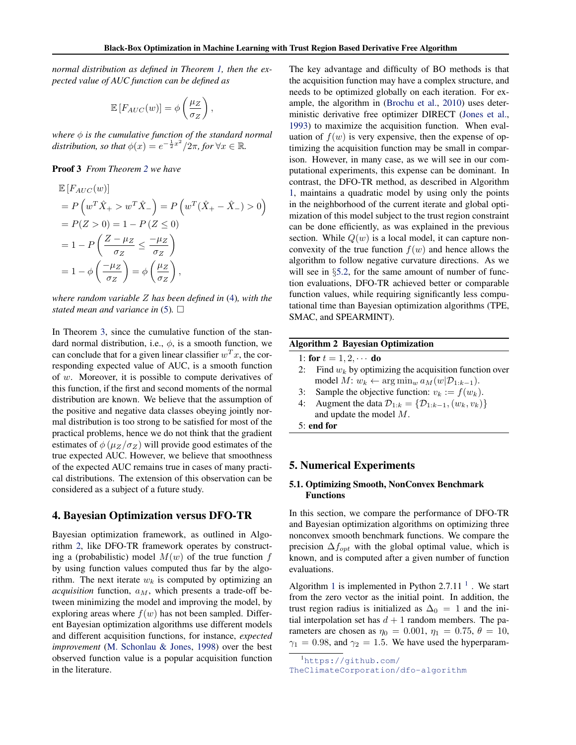<span id="page-5-0"></span>*normal distribution as defined in Theorem [1,](#page-4-0) then the expected value of AUC function can be defined as*

$$
\mathbb{E}\left[F_{AUC}(w)\right] = \phi\left(\frac{\mu_Z}{\sigma_Z}\right),\,
$$

*where is the cumulative function of the standard normal distribution, so that*  $\phi(x) = e^{-\frac{1}{2}x^2}/2\pi$ , for  $\forall x \in \mathbb{R}$ .

#### Proof 3 *From Theorem [2](#page-4-0) we have*

$$
\mathbb{E}\left[F_{AUC}(w)\right] \n= P\left(w^T \hat{X}_+ > w^T \hat{X}_-\right) = P\left(w^T (\hat{X}_+ - \hat{X}_-) > 0\right) \n= P(Z > 0) = 1 - P\left(Z \le 0\right) \n= 1 - P\left(\frac{Z - \mu_Z}{\sigma_Z} \le \frac{-\mu_Z}{\sigma_Z}\right) \n= 1 - \phi\left(\frac{-\mu_Z}{\sigma_Z}\right) = \phi\left(\frac{\mu_Z}{\sigma_Z}\right),
$$

*where random variable Z has been defined in* [\(4\)](#page-4-0)*, with the stated mean and variance in*  $(5)$ *.*  $\Box$ 

In Theorem [3,](#page-4-0) since the cumulative function of the standard normal distribution, i.e.,  $\phi$ , is a smooth function, we can conclude that for a given linear classifier  $w^T x$ , the corresponding expected value of AUC, is a smooth function of *w*. Moreover, it is possible to compute derivatives of this function, if the first and second moments of the normal distribution are known. We believe that the assumption of the positive and negative data classes obeying jointly normal distribution is too strong to be satisfied for most of the practical problems, hence we do not think that the gradient estimates of  $\phi$  ( $\mu_Z/\sigma_Z$ ) will provide good estimates of the true expected AUC. However, we believe that smoothness of the expected AUC remains true in cases of many practical distributions. The extension of this observation can be considered as a subject of a future study.

#### 4. Bayesian Optimization versus DFO-TR

Bayesian optimization framework, as outlined in Algorithm 2, like DFO-TR framework operates by constructing a (probabilistic) model  $M(w)$  of the true function  $f$ by using function values computed thus far by the algorithm. The next iterate  $w_k$  is computed by optimizing an *acquisition* function, *aM*, which presents a trade-off between minimizing the model and improving the model, by exploring areas where  $f(w)$  has not been sampled. Different Bayesian optimization algorithms use different models and different acquisition functions, for instance, *expected improvement* [\(M. Schonlau & Jones,](#page-9-0) [1998\)](#page-9-0) over the best observed function value is a popular acquisition function in the literature.

The key advantage and difficulty of BO methods is that the acquisition function may have a complex structure, and needs to be optimized globally on each iteration. For example, the algorithm in [\(Brochu et al.,](#page-9-0) [2010\)](#page-9-0) uses deterministic derivative free optimizer DIRECT [\(Jones et al.,](#page-9-0) [1993\)](#page-9-0) to maximize the acquisition function. When evaluation of  $f(w)$  is very expensive, then the expense of optimizing the acquisition function may be small in comparison. However, in many case, as we will see in our computational experiments, this expense can be dominant. In contrast, the DFO-TR method, as described in Algorithm [1,](#page-4-0) maintains a quadratic model by using only the points in the neighborhood of the current iterate and global optimization of this model subject to the trust region constraint can be done efficiently, as was explained in the previous section. While  $Q(w)$  is a local model, it can capture nonconvexity of the true function  $f(w)$  and hence allows the algorithm to follow negative curvature directions. As we will see in §[5.2,](#page-6-0) for the same amount of number of function evaluations, DFO-TR achieved better or comparable function values, while requiring significantly less computational time than Bayesian optimization algorithms (TPE, SMAC, and SPEARMINT).

#### Algorithm 2 Bayesian Optimization

1: for  $t = 1, 2, \cdots$  do<br>2: Find  $w_k$  by optim

- Find  $w_k$  by optimizing the acquisition function over model  $M: w_k \leftarrow \arg\min_{w} a_M(w|\mathcal{D}_{1:k-1})$ .
- 3: Sample the objective function:  $v_k := f(w_k)$ .
- Augment the data  $\mathcal{D}_{1:k} = {\mathcal{D}_{1:k-1}, (w_k, v_k)}$ and update the model *M*.

5: end for

#### 5. Numerical Experiments

#### 5.1. Optimizing Smooth, NonConvex Benchmark Functions

In this section, we compare the performance of DFO-TR and Bayesian optimization algorithms on optimizing three nonconvex smooth benchmark functions. We compare the precision  $\Delta f_{opt}$  with the global optimal value, which is known, and is computed after a given number of function evaluations.

Algorithm [1](#page-4-0) is implemented in Python  $2.7.11<sup>-1</sup>$ . We start from the zero vector as the initial point. In addition, the trust region radius is initialized as  $\Delta_0 = 1$  and the initial interpolation set has  $d + 1$  random members. The parameters are chosen as  $\eta_0 = 0.001$ ,  $\eta_1 = 0.75$ ,  $\theta = 10$ ,  $\gamma_1 = 0.98$ , and  $\gamma_2 = 1.5$ . We have used the hyperparam-

<sup>1</sup> [https://github.com/](https://github.com/TheClimateCorporation/dfo-algorithm)

[TheClimateCorporation/dfo-algorithm](https://github.com/TheClimateCorporation/dfo-algorithm)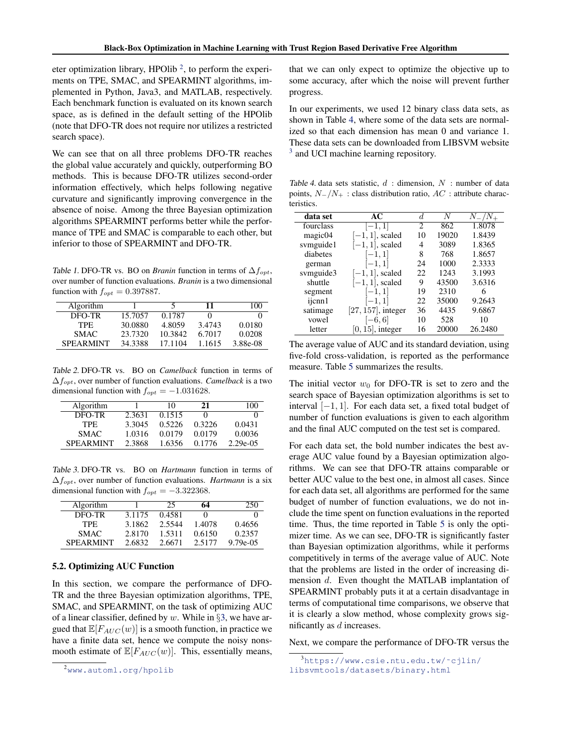<span id="page-6-0"></span>eter optimization library, HPOlib  $^2$ , to perform the experiments on TPE, SMAC, and SPEARMINT algorithms, implemented in Python, Java3, and MATLAB, respectively. Each benchmark function is evaluated on its known search space, as is defined in the default setting of the HPOlib (note that DFO-TR does not require nor utilizes a restricted search space).

We can see that on all three problems DFO-TR reaches the global value accurately and quickly, outperforming BO methods. This is because DFO-TR utilizes second-order information effectively, which helps following negative curvature and significantly improving convergence in the absence of noise. Among the three Bayesian optimization algorithms SPEARMINT performs better while the performance of TPE and SMAC is comparable to each other, but inferior to those of SPEARMINT and DFO-TR.

*Table 1.* DFO-TR vs. BO on *Branin* function in terms of  $\Delta f_{opt}$ , over number of function evaluations. *Branin* is a two dimensional function with  $f_{opt} = 0.397887$ .

| Algorithm        |         |         | 11     | 100      |
|------------------|---------|---------|--------|----------|
| DFO-TR           | 15.7057 | 0.1787  |        |          |
| TPF.             | 30.0880 | 4.8059  | 3.4743 | 0.0180   |
| <b>SMAC</b>      | 23.7320 | 10.3842 | 6.7017 | 0.0208   |
| <b>SPEARMINT</b> | 34.3388 | 17.1104 | 1.1615 | 3.88e-08 |

*Table 2.* DFO-TR vs. BO on *Camelback* function in terms of  $\Delta f_{opt}$ , over number of function evaluations. *Camelback* is a two dimensional function with  $f_{opt} = -1.031628$ .

| Algorithm        |        | 10     | 21     | 100      |
|------------------|--------|--------|--------|----------|
| DFO-TR           | 2.3631 | 0.1515 |        |          |
| TPF.             | 3.3045 | 0.5226 | 0.3226 | 0.0431   |
| SMAC.            | 1.0316 | 0.0179 | 0.0179 | 0.0036   |
| <b>SPEARMINT</b> | 2.3868 | 1.6356 | 0.1776 | 2.29e-05 |

*Table 3.* DFO-TR vs. BO on *Hartmann* function in terms of  $\Delta f_{opt}$ , over number of function evaluations. *Hartmann* is a six dimensional function with  $f_{opt} = -3.322368$ .

| Algorithm        |        | 25     | 64     | 250         |
|------------------|--------|--------|--------|-------------|
| DFO-TR           | 3.1175 | 0.4581 |        |             |
| <b>TPE</b>       | 3.1862 | 2.5544 | 1.4078 | 0.4656      |
| <b>SMAC</b>      | 2.8170 | 1.5311 | 0.6150 | 0.2357      |
| <b>SPEARMINT</b> | 2.6832 | 2.6671 | 2.5177 | $9.79e-0.5$ |

#### 5.2. Optimizing AUC Function

In this section, we compare the performance of DFO-TR and the three Bayesian optimization algorithms, TPE, SMAC, and SPEARMINT, on the task of optimizing AUC of a linear classifier, defined by *w*. While in *§*[3,](#page-4-0) we have argued that  $\mathbb{E}[F_{AUC}(w)]$  is a smooth function, in practice we have a finite data set, hence we compute the noisy nonsmooth estimate of  $\mathbb{E}[F_{AUC}(w)]$ . This, essentially means, that we can only expect to optimize the objective up to some accuracy, after which the noise will prevent further progress.

In our experiments, we used 12 binary class data sets, as shown in Table 4, where some of the data sets are normalized so that each dimension has mean 0 and variance 1. These data sets can be downloaded from LIBSVM website <sup>3</sup> and UCI machine learning repository.

*Table 4.* data sets statistic, *d* : dimension, *N* : number of data points,  $N_{-}/N_{+}$ : class distribution ratio,  $AC$ : attribute characteristics.

| data set  | AC                    | d.             | N     | $N_-/N_-$ |
|-----------|-----------------------|----------------|-------|-----------|
| fourclass | $[-1, 1]$             | $\mathfrak{D}$ | 862   | 1.8078    |
| magic04   | $[-1, 1]$ , scaled    | 10             | 19020 | 1.8439    |
| svmguide1 | $[-1, 1]$ , scaled    | 4              | 3089  | 1.8365    |
| diabetes  | $[-1, 1]$             | 8              | 768   | 1.8657    |
| german    | $[-1, 1]$             | 24             | 1000  | 2.3333    |
| symguide3 | $[-1, 1]$ , scaled    | 22             | 1243  | 3.1993    |
| shuttle   | $[-1, 1]$ , scaled    | 9              | 43500 | 3.6316    |
| segment   | $[-1, 1]$             | 19             | 2310  | 6         |
| ijcnn1    | $[-1, 1]$             | 22             | 35000 | 9.2643    |
| satimage  | $[27, 157]$ , integer | 36             | 4435  | 9.6867    |
| vowel     | $[-6, 6]$             | 10             | 528   | 10        |
| letter    | $[0, 15]$ , integer   | 16             | 20000 | 26.2480   |

The average value of AUC and its standard deviation, using five-fold cross-validation, is reported as the performance measure. Table [5](#page-7-0) summarizes the results.

The initial vector  $w_0$  for DFO-TR is set to zero and the search space of Bayesian optimization algorithms is set to interval  $[-1, 1]$ . For each data set, a fixed total budget of number of function evaluations is given to each algorithm and the final AUC computed on the test set is compared.

For each data set, the bold number indicates the best average AUC value found by a Bayesian optimization algorithms. We can see that DFO-TR attains comparable or better AUC value to the best one, in almost all cases. Since for each data set, all algorithms are performed for the same budget of number of function evaluations, we do not include the time spent on function evaluations in the reported time. Thus, the time reported in Table [5](#page-7-0) is only the optimizer time. As we can see, DFO-TR is significantly faster than Bayesian optimization algorithms, while it performs competitively in terms of the average value of AUC. Note that the problems are listed in the order of increasing dimension *d*. Even thought the MATLAB implantation of SPEARMINT probably puts it at a certain disadvantage in terms of computational time comparisons, we observe that it is clearly a slow method, whose complexity grows significantly as *d* increases.

Next, we compare the performance of DFO-TR versus the

<sup>&</sup>lt;sup>2</sup><www.automl.org/hpolib>

<sup>3</sup> [https://www.csie.ntu.edu.tw/˜cjlin/](https://www.csie.ntu.edu.tw/~cjlin/libsvmtools/datasets/binary.html) [libsvmtools/datasets/binary.html](https://www.csie.ntu.edu.tw/~cjlin/libsvmtools/datasets/binary.html)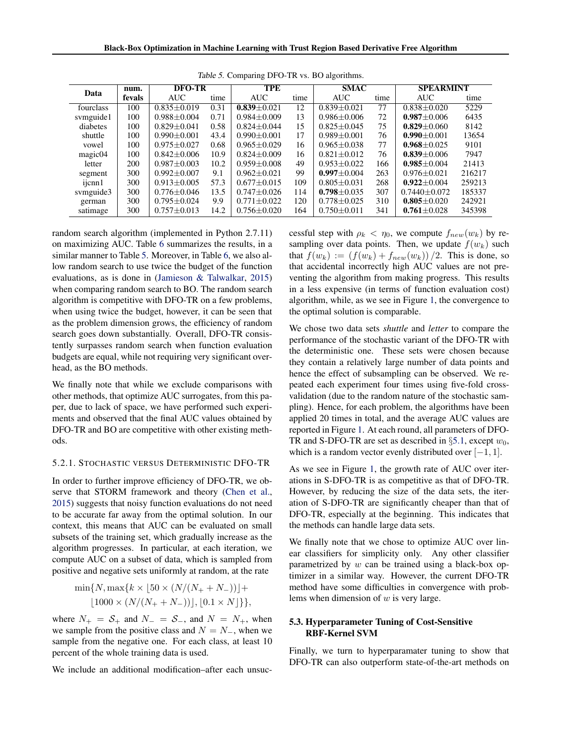<span id="page-7-0"></span>

|           | num.<br>Data |                 | <b>TPE</b><br><b>DFO-TR</b> |                   |      | <b>SMAC</b>       |      | <b>SPEARMINT</b>   |        |
|-----------|--------------|-----------------|-----------------------------|-------------------|------|-------------------|------|--------------------|--------|
|           | fevals       | <b>AUC</b>      | time                        | <b>AUC</b>        | time | <b>AUC</b>        | time | <b>AUC</b>         | time   |
| fourclass | 100          | $0.835 + 0.019$ | 0.31                        | $0.839 + 0.021$   | 12   | $0.839 + 0.021$   | 77   | $0.838 + 0.020$    | 5229   |
| symguide1 | 100          | $0.988 + 0.004$ | 0.71                        | $0.984 + 0.009$   | 13   | $0.986 \pm 0.006$ | 72   | $0.987 + 0.006$    | 6435   |
| diabetes  | 100          | $0.829 + 0.041$ | 0.58                        | $0.824 + 0.044$   | 15   | $0.825 + 0.045$   | 75   | $0.829 + 0.060$    | 8142   |
| shuttle   | 100          | $0.990 + 0.001$ | 43.4                        | $0.990 + 0.001$   | 17   | $0.989 + 0.001$   | 76   | $0.990 + 0.001$    | 13654  |
| vowel     | 100          | $0.975 + 0.027$ | 0.68                        | $0.965 + 0.029$   | 16   | $0.965 + 0.038$   | 77   | $0.968 + 0.025$    | 9101   |
| magic04   | 100          | $0.842 + 0.006$ | 10.9                        | $0.824 + 0.009$   | 16   | $0.821 \pm 0.012$ | 76   | $0.839 + 0.006$    | 7947   |
| letter    | 200          | $0.987 + 0.003$ | 10.2                        | $0.959 + 0.008$   | 49   | $0.953 + 0.022$   | 166  | $0.985 + 0.004$    | 21413  |
| segment   | 300          | $0.992 + 0.007$ | 9.1                         | $0.962 + 0.021$   | 99   | $0.997 + 0.004$   | 263  | $0.976 \pm 0.021$  | 216217 |
| ijcnn1    | 300          | $0.913 + 0.005$ | 57.3                        | $0.677 + 0.015$   | 109  | $0.805 + 0.031$   | 268  | $0.922 + 0.004$    | 259213 |
| symguide3 | 300          | $0.776 + 0.046$ | 13.5                        | $0.747 + 0.026$   | 114  | $0.798 \pm 0.035$ | 307  | $0.7440 \pm 0.072$ | 185337 |
| german    | 300          | $0.795 + 0.024$ | 9.9                         | $0.771 + 0.022$   | 120  | $0.778 + 0.025$   | 310  | $0.805 + 0.020$    | 242921 |
| satimage  | 300          | $0.757 + 0.013$ | 14.2                        | $0.756 \pm 0.020$ | 164  | $0.750 + 0.011$   | 341  | $0.761 + 0.028$    | 345398 |

*Table 5.* Comparing DFO-TR vs. BO algorithms.

random search algorithm (implemented in Python 2.7.11) on maximizing AUC. Table [6](#page-8-0) summarizes the results, in a similar manner to Table 5. Moreover, in Table [6,](#page-8-0) we also allow random search to use twice the budget of the function evaluations, as is done in [\(Jamieson & Talwalkar,](#page-9-0) [2015\)](#page-9-0) when comparing random search to BO. The random search algorithm is competitive with DFO-TR on a few problems, when using twice the budget, however, it can be seen that as the problem dimension grows, the efficiency of random search goes down substantially. Overall, DFO-TR consistently surpasses random search when function evaluation budgets are equal, while not requiring very significant overhead, as the BO methods.

We finally note that while we exclude comparisons with other methods, that optimize AUC surrogates, from this paper, due to lack of space, we have performed such experiments and observed that the final AUC values obtained by DFO-TR and BO are competitive with other existing methods.

#### 5.2.1. STOCHASTIC VERSUS DETERMINISTIC DFO-TR

In order to further improve efficiency of DFO-TR, we observe that STORM framework and theory [\(Chen et al.,](#page-9-0) [2015\)](#page-9-0) suggests that noisy function evaluations do not need to be accurate far away from the optimal solution. In our context, this means that AUC can be evaluated on small subsets of the training set, which gradually increase as the algorithm progresses. In particular, at each iteration, we compute AUC on a subset of data, which is sampled from positive and negative sets uniformly at random, at the rate

$$
\min\{N, \max\{k \times \lfloor 50 \times (N/(N_{+} + N_{-}))\rfloor +
$$
  

$$
\lfloor 1000 \times (N/(N_{+} + N_{-}))\rfloor, \lfloor 0.1 \times N \rfloor \}\},\
$$

where  $N_+ = S_+$  and  $N_- = S_-$ , and  $N = N_+$ , when we sample from the positive class and  $N = N<sub>-</sub>$ , when we sample from the negative one. For each class, at least 10 percent of the whole training data is used.

We include an additional modification–after each unsuc-

cessful step with  $\rho_k < \eta_0$ , we compute  $f_{new}(w_k)$  by resampling over data points. Then, we update  $f(w_k)$  such that  $f(w_k) := (f(w_k) + f_{new}(w_k)) / 2$ . This is done, so that accidental incorrectly high AUC values are not preventing the algorithm from making progress. This results in a less expensive (in terms of function evaluation cost) algorithm, while, as we see in Figure [1,](#page-8-0) the convergence to the optimal solution is comparable.

We chose two data sets *shuttle* and *letter* to compare the performance of the stochastic variant of the DFO-TR with the deterministic one. These sets were chosen because they contain a relatively large number of data points and hence the effect of subsampling can be observed. We repeated each experiment four times using five-fold crossvalidation (due to the random nature of the stochastic sampling). Hence, for each problem, the algorithms have been applied 20 times in total, and the average AUC values are reported in Figure [1.](#page-8-0) At each round, all parameters of DFO-TR and S-DFO-TR are set as described in  $\S$ [5.1,](#page-5-0) except  $w_0$ , which is a random vector evenly distributed over  $[-1, 1]$ .

As we see in Figure [1,](#page-8-0) the growth rate of AUC over iterations in S-DFO-TR is as competitive as that of DFO-TR. However, by reducing the size of the data sets, the iteration of S-DFO-TR are significantly cheaper than that of DFO-TR, especially at the beginning. This indicates that the methods can handle large data sets.

We finally note that we chose to optimize AUC over linear classifiers for simplicity only. Any other classifier parametrized by *w* can be trained using a black-box optimizer in a similar way. However, the current DFO-TR method have some difficulties in convergence with problems when dimension of *w* is very large.

#### 5.3. Hyperparameter Tuning of Cost-Sensitive RBF-Kernel SVM

Finally, we turn to hyperparamater tuning to show that DFO-TR can also outperform state-of-the-art methods on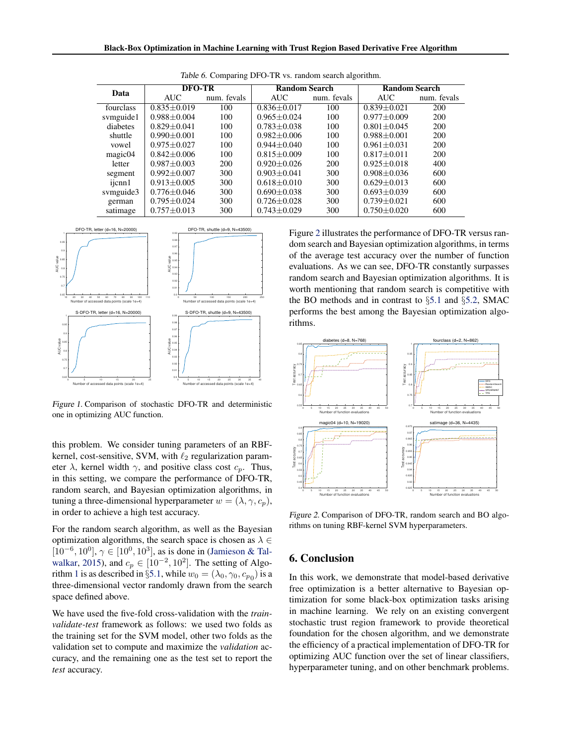<span id="page-8-0"></span>

| Data      | <b>DFO-TR</b>     |             | <b>Random Search</b> |             | <b>Random Search</b> |             |  |  |
|-----------|-------------------|-------------|----------------------|-------------|----------------------|-------------|--|--|
|           | <b>AUC</b>        | num. fevals | AUC.                 | num. fevals | AUC.                 | num. fevals |  |  |
| fourclass | $0.835 + 0.019$   | 100         | $0.836 + 0.017$      | 100         | $0.839 \pm 0.021$    | 200         |  |  |
| svmguide1 | $0.988 + 0.004$   | 100         | $0.965 + 0.024$      | 100         | $0.977 \pm 0.009$    | 200         |  |  |
| diabetes  | $0.829 + 0.041$   | 100         | $0.783 + 0.038$      | 100         | $0.801 + 0.045$      | 200         |  |  |
| shuttle   | $0.990 + 0.001$   | 100         | $0.982 + 0.006$      | 100         | $0.988 + 0.001$      | 200         |  |  |
| vowel     | $0.975 + 0.027$   | 100         | $0.944 + 0.040$      | 100         | $0.961 + 0.031$      | 200         |  |  |
| magic04   | $0.842 + 0.006$   | 100         | $0.815 + 0.009$      | 100         | $0.817 + 0.011$      | 200         |  |  |
| letter    | $0.987 + 0.003$   | 200         | $0.920 + 0.026$      | 200         | $0.925 + 0.018$      | 400         |  |  |
| segment   | $0.992 \pm 0.007$ | 300         | $0.903 + 0.041$      | 300         | $0.908 + 0.036$      | 600         |  |  |
| ijcnn1    | $0.913 + 0.005$   | 300         | $0.618 + 0.010$      | 300         | $0.629 + 0.013$      | 600         |  |  |
| svmguide3 | $0.776 + 0.046$   | 300         | $0.690 + 0.038$      | 300         | $0.693 + 0.039$      | 600         |  |  |
| german    | $0.795 + 0.024$   | 300         | $0.726 + 0.028$      | 300         | $0.739 + 0.021$      | 600         |  |  |
| satimage  | $0.757 + 0.013$   | 300         | $0.743 + 0.029$      | 300         | $0.750 + 0.020$      | 600         |  |  |





*Figure 1.* Comparison of stochastic DFO-TR and deterministic one in optimizing AUC function.

this problem. We consider tuning parameters of an RBFkernel, cost-sensitive, SVM, with  $\ell_2$  regularization parameter  $\lambda$ , kernel width  $\gamma$ , and positive class cost  $c_p$ . Thus, in this setting, we compare the performance of DFO-TR, random search, and Bayesian optimization algorithms, in tuning a three-dimensional hyperparameter  $w = (\lambda, \gamma, c_p)$ , in order to achieve a high test accuracy.

For the random search algorithm, as well as the Bayesian optimization algorithms, the search space is chosen as  $\lambda \in$  $[10^{-6}, 10^{0}], \gamma \in [10^{0}, 10^{3}],$  as is done in [\(Jamieson & Tal](#page-9-0)[walkar,](#page-9-0) [2015\)](#page-9-0), and  $c_p \in [10^{-2}, 10^2]$ . The setting of Algo-rithm [1](#page-4-0) is as described in §[5.1,](#page-5-0) while  $w_0 = (\lambda_0, \gamma_0, c_{p_0})$  is a three-dimensional vector randomly drawn from the search space defined above.

We have used the five-fold cross-validation with the *trainvalidate-test* framework as follows: we used two folds as the training set for the SVM model, other two folds as the validation set to compute and maximize the *validation* accuracy, and the remaining one as the test set to report the *test* accuracy.

Figure 2 illustrates the performance of DFO-TR versus random search and Bayesian optimization algorithms, in terms of the average test accuracy over the number of function evaluations. As we can see, DFO-TR constantly surpasses random search and Bayesian optimization algorithms. It is worth mentioning that random search is competitive with the BO methods and in contrast to *§*[5.1](#page-5-0) and *§*[5.2,](#page-6-0) SMAC performs the best among the Bayesian optimization algorithms.



*Figure 2.* Comparison of DFO-TR, random search and BO algorithms on tuning RBF-kernel SVM hyperparameters.

#### 6. Conclusion

In this work, we demonstrate that model-based derivative free optimization is a better alternative to Bayesian optimization for some black-box optimization tasks arising in machine learning. We rely on an existing convergent stochastic trust region framework to provide theoretical foundation for the chosen algorithm, and we demonstrate the efficiency of a practical implementation of DFO-TR for optimizing AUC function over the set of linear classifiers, hyperparameter tuning, and on other benchmark problems.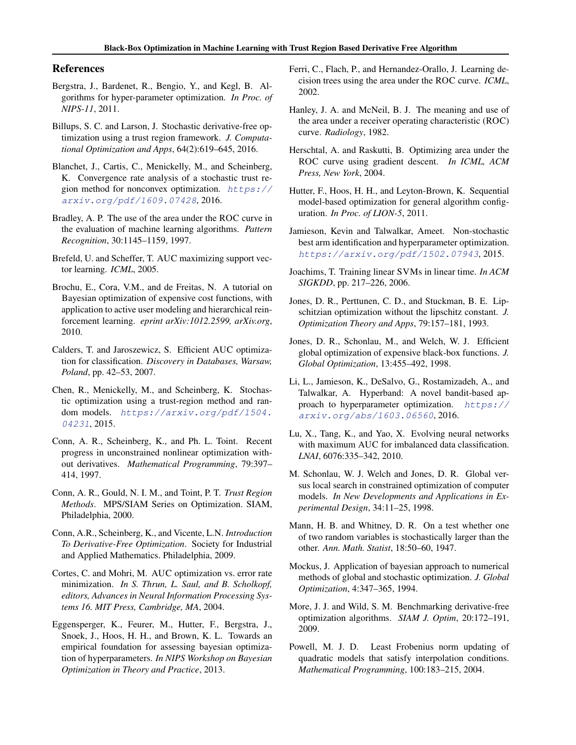#### <span id="page-9-0"></span>References

- Bergstra, J., Bardenet, R., Bengio, Y., and Kegl, B. Algorithms for hyper-parameter optimization. *In Proc. of NIPS-11*, 2011.
- Billups, S. C. and Larson, J. Stochastic derivative-free optimization using a trust region framework. *J. Computational Optimization and Apps*, 64(2):619–645, 2016.
- Blanchet, J., Cartis, C., Menickelly, M., and Scheinberg, K. Convergence rate analysis of a stochastic trust region method for nonconvex optimization. *[https://](https://arxiv.org/pdf/1609.07428) [arxiv.org/pdf/1609.07428](https://arxiv.org/pdf/1609.07428)*, 2016.
- Bradley, A. P. The use of the area under the ROC curve in the evaluation of machine learning algorithms. *Pattern Recognition*, 30:1145–1159, 1997.
- Brefeld, U. and Scheffer, T. AUC maximizing support vector learning. *ICML*, 2005.
- Brochu, E., Cora, V.M., and de Freitas, N. A tutorial on Bayesian optimization of expensive cost functions, with application to active user modeling and hierarchical reinforcement learning. *eprint arXiv:1012.2599, arXiv.org*, 2010.
- Calders, T. and Jaroszewicz, S. Efficient AUC optimization for classification. *Discovery in Databases, Warsaw, Poland*, pp. 42–53, 2007.
- Chen, R., Menickelly, M., and Scheinberg, K. Stochastic optimization using a trust-region method and random models. *[https://arxiv.org/pdf/1504.](https://arxiv.org/pdf/1504.04231) [04231](https://arxiv.org/pdf/1504.04231)*, 2015.
- Conn, A. R., Scheinberg, K., and Ph. L. Toint. Recent progress in unconstrained nonlinear optimization without derivatives. *Mathematical Programming*, 79:397– 414, 1997.
- Conn, A. R., Gould, N. I. M., and Toint, P. T. *Trust Region Methods*. MPS/SIAM Series on Optimization. SIAM, Philadelphia, 2000.
- Conn, A.R., Scheinberg, K., and Vicente, L.N. *Introduction To Derivative-Free Optimization*. Society for Industrial and Applied Mathematics. Philadelphia, 2009.
- Cortes, C. and Mohri, M. AUC optimization vs. error rate minimization. *In S. Thrun, L. Saul, and B. Scholkopf, editors, Advances in Neural Information Processing Systems 16. MIT Press, Cambridge, MA*, 2004.
- Eggensperger, K., Feurer, M., Hutter, F., Bergstra, J., Snoek, J., Hoos, H. H., and Brown, K. L. Towards an empirical foundation for assessing bayesian optimization of hyperparameters. *In NIPS Workshop on Bayesian Optimization in Theory and Practice*, 2013.
- Ferri, C., Flach, P., and Hernandez-Orallo, J. Learning decision trees using the area under the ROC curve. *ICML*, 2002.
- Hanley, J. A. and McNeil, B. J. The meaning and use of the area under a receiver operating characteristic (ROC) curve. *Radiology*, 1982.
- Herschtal, A. and Raskutti, B. Optimizing area under the ROC curve using gradient descent. *In ICML, ACM Press, New York*, 2004.
- Hutter, F., Hoos, H. H., and Leyton-Brown, K. Sequential model-based optimization for general algorithm configuration. *In Proc. of LION-5*, 2011.
- Jamieson, Kevin and Talwalkar, Ameet. Non-stochastic best arm identification and hyperparameter optimization. *<https://arxiv.org/pdf/1502.07943>*, 2015.
- Joachims, T. Training linear SVMs in linear time. *In ACM SIGKDD*, pp. 217–226, 2006.
- Jones, D. R., Perttunen, C. D., and Stuckman, B. E. Lipschitzian optimization without the lipschitz constant. *J. Optimization Theory and Apps*, 79:157–181, 1993.
- Jones, D. R., Schonlau, M., and Welch, W. J. Efficient global optimization of expensive black-box functions. *J. Global Optimization*, 13:455–492, 1998.
- Li, L., Jamieson, K., DeSalvo, G., Rostamizadeh, A., and Talwalkar, A. Hyperband: A novel bandit-based approach to hyperparameter optimization. *[https://](https://arxiv.org/abs/1603.06560) [arxiv.org/abs/1603.06560](https://arxiv.org/abs/1603.06560)*, 2016.
- Lu, X., Tang, K., and Yao, X. Evolving neural networks with maximum AUC for imbalanced data classification. *LNAI*, 6076:335–342, 2010.
- M. Schonlau, W. J. Welch and Jones, D. R. Global versus local search in constrained optimization of computer models. *In New Developments and Applications in Experimental Design*, 34:11–25, 1998.
- Mann, H. B. and Whitney, D. R. On a test whether one of two random variables is stochastically larger than the other. *Ann. Math. Statist*, 18:50–60, 1947.
- Mockus, J. Application of bayesian approach to numerical methods of global and stochastic optimization. *J. Global Optimization*, 4:347–365, 1994.
- More, J. J. and Wild, S. M. Benchmarking derivative-free optimization algorithms. *SIAM J. Optim*, 20:172–191, 2009.
- Powell, M. J. D. Least Frobenius norm updating of quadratic models that satisfy interpolation conditions. *Mathematical Programming*, 100:183–215, 2004.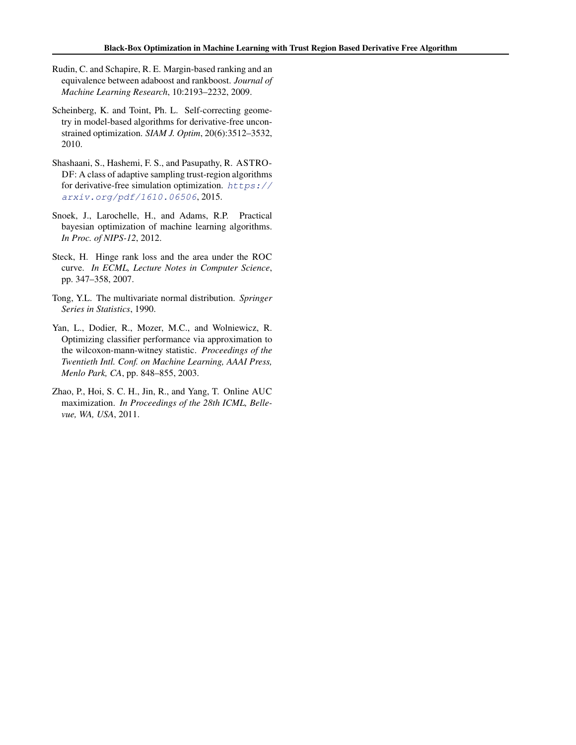- <span id="page-10-0"></span>Rudin, C. and Schapire, R. E. Margin-based ranking and an equivalence between adaboost and rankboost. *Journal of Machine Learning Research*, 10:2193–2232, 2009.
- Scheinberg, K. and Toint, Ph. L. Self-correcting geometry in model-based algorithms for derivative-free unconstrained optimization. *SIAM J. Optim*, 20(6):3512–3532, 2010.
- Shashaani, S., Hashemi, F. S., and Pasupathy, R. ASTRO-DF: A class of adaptive sampling trust-region algorithms for derivative-free simulation optimization. *[https://](https://arxiv.org/pdf/1610.06506) [arxiv.org/pdf/1610.06506](https://arxiv.org/pdf/1610.06506)*, 2015.
- Snoek, J., Larochelle, H., and Adams, R.P. Practical bayesian optimization of machine learning algorithms. *In Proc. of NIPS-12*, 2012.
- Steck, H. Hinge rank loss and the area under the ROC curve. *In ECML, Lecture Notes in Computer Science*, pp. 347–358, 2007.
- Tong, Y.L. The multivariate normal distribution. *Springer Series in Statistics*, 1990.
- Yan, L., Dodier, R., Mozer, M.C., and Wolniewicz, R. Optimizing classifier performance via approximation to the wilcoxon-mann-witney statistic. *Proceedings of the Twentieth Intl. Conf. on Machine Learning, AAAI Press, Menlo Park, CA*, pp. 848–855, 2003.
- Zhao, P., Hoi, S. C. H., Jin, R., and Yang, T. Online AUC maximization. *In Proceedings of the 28th ICML, Bellevue, WA, USA*, 2011.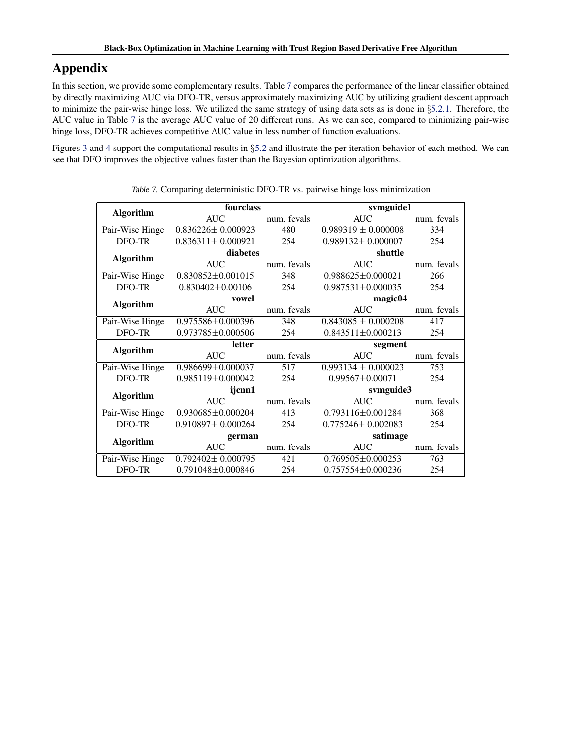# Appendix

In this section, we provide some complementary results. Table 7 compares the performance of the linear classifier obtained by directly maximizing AUC via DFO-TR, versus approximately maximizing AUC by utilizing gradient descent approach to minimize the pair-wise hinge loss. We utilized the same strategy of using data sets as is done in *§*[5.2.1.](#page-7-0) Therefore, the AUC value in Table 7 is the average AUC value of 20 different runs. As we can see, compared to minimizing pair-wise hinge loss, DFO-TR achieves competitive AUC value in less number of function evaluations.

Figures [3](#page-12-0) and [4](#page-13-0) support the computational results in *§*[5.2](#page-6-0) and illustrate the per iteration behavior of each method. We can see that DFO improves the objective values faster than the Bayesian optimization algorithms.

|                  | fourclass               |             | svmguide1               |             |  |  |
|------------------|-------------------------|-------------|-------------------------|-------------|--|--|
| <b>Algorithm</b> |                         |             |                         |             |  |  |
|                  | AUC                     | num. fevals | AUC FOR THE STREET      | num. fevals |  |  |
| Pair-Wise Hinge  | $0.836226 \pm 0.000923$ | 480         | $0.989319 \pm 0.000008$ | 334         |  |  |
| DFO-TR           | $0.836311 \pm 0.000921$ | 254         | $0.989132 \pm 0.000007$ | 254         |  |  |
|                  | diabetes                |             | shuttle                 |             |  |  |
| <b>Algorithm</b> | <b>AUC</b>              | num. fevals | <b>AUC</b>              | num. fevals |  |  |
| Pair-Wise Hinge  | $0.830852 \pm 0.001015$ | 348         | $0.988625 \pm 0.000021$ | 266         |  |  |
| DFO-TR           | $0.830402 \pm 0.00106$  | 254         | $0.987531 \pm 0.000035$ | 254         |  |  |
|                  | vowel                   |             | magic04                 |             |  |  |
| <b>Algorithm</b> | <b>AUC</b>              | num. fevals | AUC <b>AUC</b>          | num. fevals |  |  |
| Pair-Wise Hinge  | 0.975586±0.000396       | 348         | $0.843085 \pm 0.000208$ | 417         |  |  |
| DFO-TR           | $0.973785 \pm 0.000506$ | 254         | $0.843511 \pm 0.000213$ | 254         |  |  |
|                  | letter                  |             | segment                 |             |  |  |
| <b>Algorithm</b> | <b>AUC</b>              | num. fevals | AUC                     | num. fevals |  |  |
| Pair-Wise Hinge  | 0.986699±0.000037       | 517         | $0.993134 \pm 0.000023$ | 753         |  |  |
| DFO-TR           | $0.985119 \pm 0.000042$ | 254         | $0.99567 \pm 0.00071$   | 254         |  |  |
| <b>Algorithm</b> | ijcnn1                  |             | svmguide3               |             |  |  |
|                  | AUC                     | num. fevals | AUC                     | num. fevals |  |  |
| Pair-Wise Hinge  | $0.930685 \pm 0.000204$ | 413         | $0.793116 \pm 0.001284$ | 368         |  |  |
| DFO-TR           | $0.910897 \pm 0.000264$ | 254         | $0.775246 \pm 0.002083$ | 254         |  |  |
| <b>Algorithm</b> | german                  |             | satimage                |             |  |  |
|                  | <b>AUC</b>              | num. fevals | AUC                     | num. fevals |  |  |
|                  | $0.792402 \pm 0.000795$ | 421         | $0.769505 \pm 0.000253$ | 763         |  |  |
| Pair-Wise Hinge  |                         |             |                         |             |  |  |

*Table 7.* Comparing deterministic DFO-TR vs. pairwise hinge loss minimization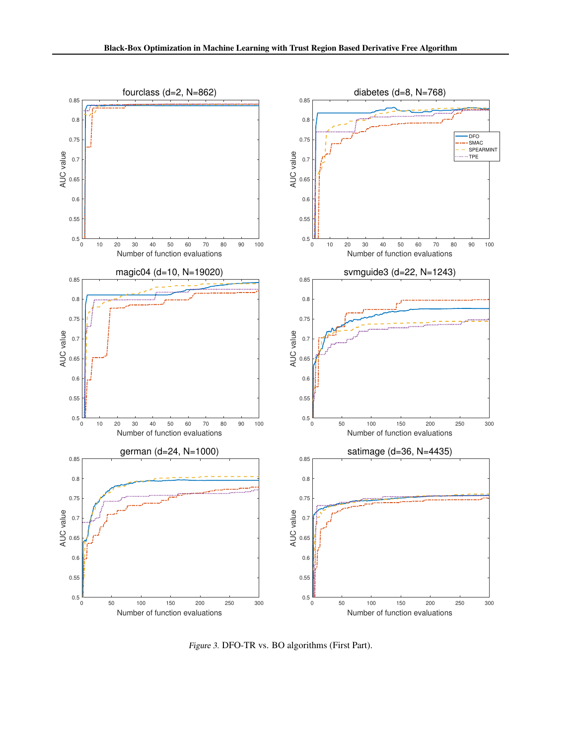<span id="page-12-0"></span>

*Figure 3.* DFO-TR vs. BO algorithms (First Part).